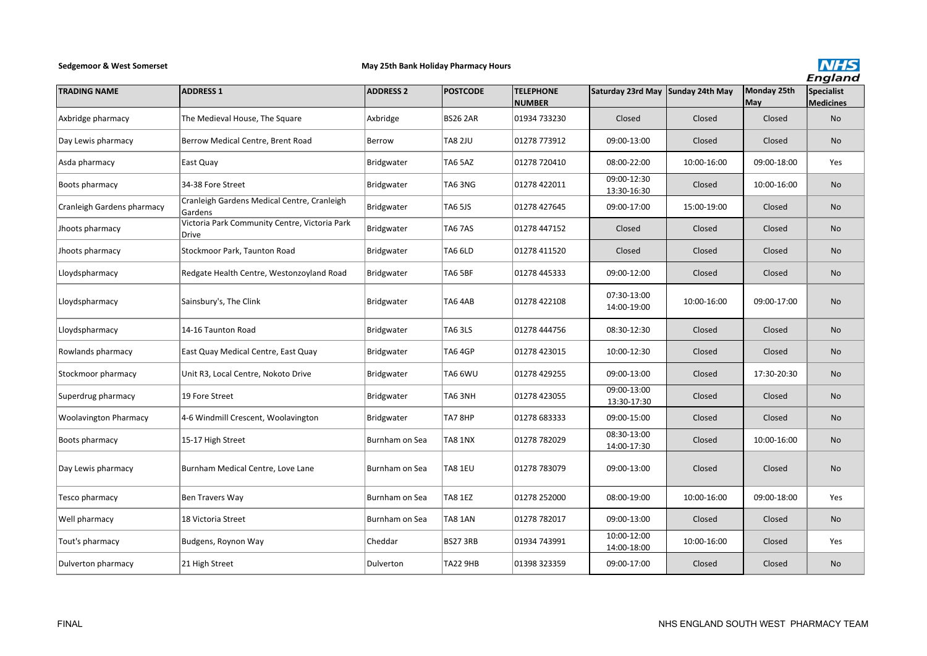## **Sedgemoor & West Somerset**

## **May 25th Bank Holiday Pharmacy Hours**



| <b>TRADING NAME</b>          | <b>ADDRESS 1</b>                                       | <b>ADDRESS 2</b> | <b>POSTCODE</b> | <b>TELEPHONE</b><br><b>NUMBER</b> | Saturday 23rd May Sunday 24th May |             | Monday 25th<br>May | <u>.</u><br>Specialist<br><b>Medicines</b> |
|------------------------------|--------------------------------------------------------|------------------|-----------------|-----------------------------------|-----------------------------------|-------------|--------------------|--------------------------------------------|
| Axbridge pharmacy            | The Medieval House, The Square                         | Axbridge         | <b>BS26 2AR</b> | 01934 733230                      | Closed                            | Closed      | Closed             | No                                         |
| Day Lewis pharmacy           | Berrow Medical Centre, Brent Road                      | Berrow           | <b>TA8 2JU</b>  | 01278 773912                      | 09:00-13:00                       | Closed      | Closed             | <b>No</b>                                  |
| Asda pharmacy                | East Quay                                              | Bridgwater       | TA6 5AZ         | 01278 720410                      | 08:00-22:00                       | 10:00-16:00 | 09:00-18:00        | Yes                                        |
| Boots pharmacy               | 34-38 Fore Street                                      | Bridgwater       | <b>TA6 3NG</b>  | 01278 422011                      | 09:00-12:30<br>13:30-16:30        | Closed      | 10:00-16:00        | <b>No</b>                                  |
| Cranleigh Gardens pharmacy   | Cranleigh Gardens Medical Centre, Cranleigh<br>Gardens | Bridgwater       | <b>TA6 5JS</b>  | 01278 427645                      | 09:00-17:00                       | 15:00-19:00 | Closed             | No                                         |
| Jhoots pharmacy              | Victoria Park Community Centre, Victoria Park<br>Drive | Bridgwater       | TA67AS          | 01278 447152                      | Closed                            | Closed      | Closed             | No                                         |
| Jhoots pharmacy              | Stockmoor Park, Taunton Road                           | Bridgwater       | TA6 6LD         | 01278 411520                      | Closed                            | Closed      | Closed             | <b>No</b>                                  |
| Lloydspharmacy               | Redgate Health Centre, Westonzoyland Road              | Bridgwater       | TA6 5BF         | 01278 445333                      | 09:00-12:00                       | Closed      | Closed             | No                                         |
| Lloydspharmacy               | Sainsbury's, The Clink                                 | Bridgwater       | TA64AB          | 01278 422108                      | 07:30-13:00<br>14:00-19:00        | 10:00-16:00 | 09:00-17:00        | No                                         |
| Lloydspharmacy               | 14-16 Taunton Road                                     | Bridgwater       | <b>TA6 3LS</b>  | 01278 444756                      | 08:30-12:30                       | Closed      | Closed             | <b>No</b>                                  |
| Rowlands pharmacy            | East Quay Medical Centre, East Quay                    | Bridgwater       | <b>TA6 4GP</b>  | 01278 423015                      | 10:00-12:30                       | Closed      | Closed             | No                                         |
| Stockmoor pharmacy           | Unit R3, Local Centre, Nokoto Drive                    | Bridgwater       | TA6 6WU         | 01278 429255                      | 09:00-13:00                       | Closed      | 17:30-20:30        | No                                         |
| Superdrug pharmacy           | 19 Fore Street                                         | Bridgwater       | TA63NH          | 01278 423055                      | 09:00-13:00<br>13:30-17:30        | Closed      | Closed             | No                                         |
| <b>Woolavington Pharmacy</b> | 4-6 Windmill Crescent, Woolavington                    | Bridgwater       | TA78HP          | 01278 683333                      | 09:00-15:00                       | Closed      | Closed             | <b>No</b>                                  |
| Boots pharmacy               | 15-17 High Street                                      | Burnham on Sea   | <b>TA8 1NX</b>  | 01278 782029                      | 08:30-13:00<br>14:00-17:30        | Closed      | 10:00-16:00        | <b>No</b>                                  |
| Day Lewis pharmacy           | Burnham Medical Centre, Love Lane                      | Burnham on Sea   | TA8 1EU         | 01278 783079                      | 09:00-13:00                       | Closed      | Closed             | No                                         |
| Tesco pharmacy               | Ben Travers Way                                        | Burnham on Sea   | <b>TA8 1EZ</b>  | 01278 252000                      | 08:00-19:00                       | 10:00-16:00 | 09:00-18:00        | Yes                                        |
| Well pharmacy                | 18 Victoria Street                                     | Burnham on Sea   | TA8 1AN         | 01278 782017                      | 09:00-13:00                       | Closed      | Closed             | No                                         |
| Tout's pharmacy              | Budgens, Roynon Way                                    | Cheddar          | <b>BS27 3RB</b> | 01934 743991                      | 10:00-12:00<br>14:00-18:00        | 10:00-16:00 | Closed             | Yes                                        |
| Dulverton pharmacy           | 21 High Street                                         | Dulverton        | TA22 9HB        | 01398 323359                      | 09:00-17:00                       | Closed      | Closed             | No                                         |